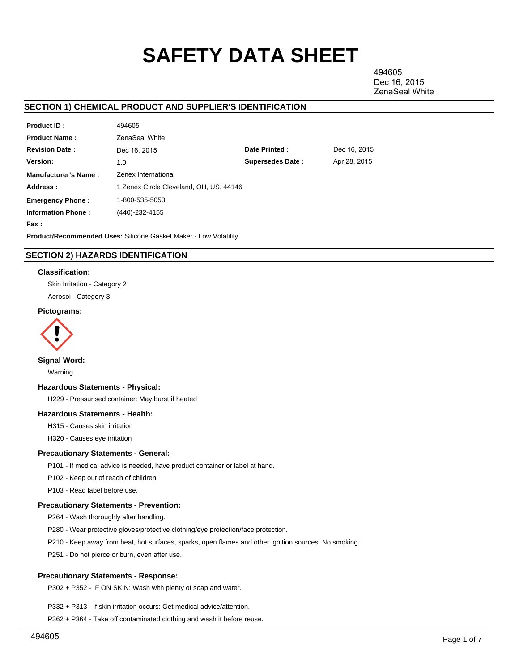# **SAFETY DATA SHEET**

494605 Dec 16, 2015 ZenaSeal White

# **SECTION 1) CHEMICAL PRODUCT AND SUPPLIER'S IDENTIFICATION**

| Product ID:                 | 494605                                  |                         |              |
|-----------------------------|-----------------------------------------|-------------------------|--------------|
| <b>Product Name:</b>        | ZenaSeal White                          |                         |              |
| <b>Revision Date:</b>       | Dec 16, 2015                            | Date Printed:           | Dec 16, 2015 |
| Version:                    | 1.0                                     | <b>Supersedes Date:</b> | Apr 28, 2015 |
| <b>Manufacturer's Name:</b> | Zenex International                     |                         |              |
| Address:                    | 1 Zenex Circle Cleveland, OH, US, 44146 |                         |              |
| <b>Emergency Phone:</b>     | 1-800-535-5053                          |                         |              |
| <b>Information Phone:</b>   | (440)-232-4155                          |                         |              |
| Fax :                       |                                         |                         |              |

**Product/Recommended Uses:** Silicone Gasket Maker - Low Volatility

# **SECTION 2) HAZARDS IDENTIFICATION**

#### **Classification:**

Skin Irritation - Category 2

Aerosol - Category 3

## **Pictograms:**



#### **Signal Word:**

Warning

#### **Hazardous Statements - Physical:**

H229 - Pressurised container: May burst if heated

## **Hazardous Statements - Health:**

H315 - Causes skin irritation

H320 - Causes eye irritation

#### **Precautionary Statements - General:**

P101 - If medical advice is needed, have product container or label at hand.

P102 - Keep out of reach of children.

P103 - Read label before use.

#### **Precautionary Statements - Prevention:**

P264 - Wash thoroughly after handling.

P280 - Wear protective gloves/protective clothing/eye protection/face protection.

P210 - Keep away from heat, hot surfaces, sparks, open flames and other ignition sources. No smoking.

P251 - Do not pierce or burn, even after use.

## **Precautionary Statements - Response:**

P302 + P352 - IF ON SKIN: Wash with plenty of soap and water.

P332 + P313 - If skin irritation occurs: Get medical advice/attention.

P362 + P364 - Take off contaminated clothing and wash it before reuse.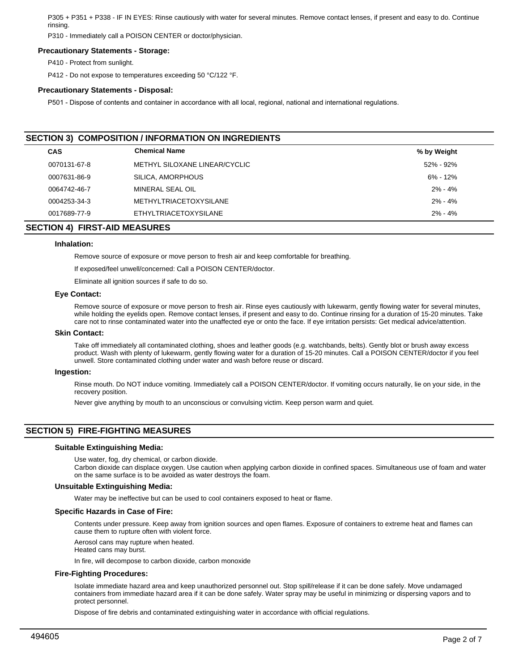P305 + P351 + P338 - IF IN EYES: Rinse cautiously with water for several minutes. Remove contact lenses, if present and easy to do. Continue rinsing.

P310 - Immediately call a POISON CENTER or doctor/physician.

#### **Precautionary Statements - Storage:**

P410 - Protect from sunlight.

P412 - Do not expose to temperatures exceeding 50 °C/122 °F.

#### **Precautionary Statements - Disposal:**

P501 - Dispose of contents and container in accordance with all local, regional, national and international regulations.

| <b>SECTION 3) COMPOSITION / INFORMATION ON INGREDIENTS</b> |                               |               |  |  |  |
|------------------------------------------------------------|-------------------------------|---------------|--|--|--|
| <b>CAS</b>                                                 | <b>Chemical Name</b>          | % by Weight   |  |  |  |
| 0070131-67-8                                               | METHYL SILOXANE LINEAR/CYCLIC | $52\% - 92\%$ |  |  |  |
| 0007631-86-9                                               | SILICA, AMORPHOUS             | $6\% - 12\%$  |  |  |  |
| 0064742-46-7                                               | MINERAL SEAL OIL              | $2\% - 4\%$   |  |  |  |
| 0004253-34-3                                               | METHYLTRIACETOXYSILANE        | $2\% - 4\%$   |  |  |  |
| 0017689-77-9                                               | ETHYLTRIACETOXYSILANE         | $2\% - 4\%$   |  |  |  |

# **SECTION 4) FIRST-AID MEASURES**

#### **Inhalation:**

Remove source of exposure or move person to fresh air and keep comfortable for breathing.

If exposed/feel unwell/concerned: Call a POISON CENTER/doctor.

Eliminate all ignition sources if safe to do so.

#### **Eye Contact:**

Remove source of exposure or move person to fresh air. Rinse eyes cautiously with lukewarm, gently flowing water for several minutes, while holding the eyelids open. Remove contact lenses, if present and easy to do. Continue rinsing for a duration of 15-20 minutes. Take care not to rinse contaminated water into the unaffected eye or onto the face. If eye irritation persists: Get medical advice/attention.

#### **Skin Contact:**

Take off immediately all contaminated clothing, shoes and leather goods (e.g. watchbands, belts). Gently blot or brush away excess product. Wash with plenty of lukewarm, gently flowing water for a duration of 15-20 minutes. Call a POISON CENTER/doctor if you feel unwell. Store contaminated clothing under water and wash before reuse or discard.

#### **Ingestion:**

Rinse mouth. Do NOT induce vomiting. Immediately call a POISON CENTER/doctor. If vomiting occurs naturally, lie on your side, in the recovery position.

Never give anything by mouth to an unconscious or convulsing victim. Keep person warm and quiet.

# **SECTION 5) FIRE-FIGHTING MEASURES**

#### **Suitable Extinguishing Media:**

Use water, fog, dry chemical, or carbon dioxide.

Carbon dioxide can displace oxygen. Use caution when applying carbon dioxide in confined spaces. Simultaneous use of foam and water on the same surface is to be avoided as water destroys the foam.

#### **Unsuitable Extinguishing Media:**

Water may be ineffective but can be used to cool containers exposed to heat or flame.

#### **Specific Hazards in Case of Fire:**

Contents under pressure. Keep away from ignition sources and open flames. Exposure of containers to extreme heat and flames can cause them to rupture often with violent force.

Aerosol cans may rupture when heated.

Heated cans may burst.

In fire, will decompose to carbon dioxide, carbon monoxide

#### **Fire-Fighting Procedures:**

Isolate immediate hazard area and keep unauthorized personnel out. Stop spill/release if it can be done safely. Move undamaged containers from immediate hazard area if it can be done safely. Water spray may be useful in minimizing or dispersing vapors and to protect personnel.

Dispose of fire debris and contaminated extinguishing water in accordance with official regulations.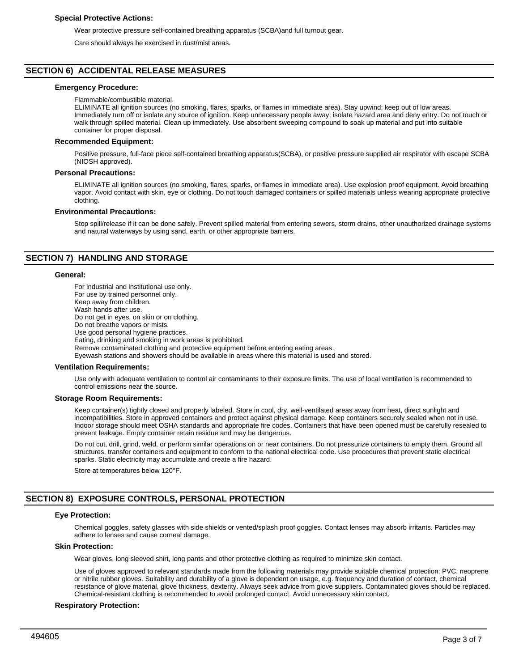#### **Special Protective Actions:**

Wear protective pressure self-contained breathing apparatus (SCBA)and full turnout gear.

Care should always be exercised in dust/mist areas.

# **SECTION 6) ACCIDENTAL RELEASE MEASURES**

#### **Emergency Procedure:**

Flammable/combustible material.

ELIMINATE all ignition sources (no smoking, flares, sparks, or flames in immediate area). Stay upwind; keep out of low areas. Immediately turn off or isolate any source of ignition. Keep unnecessary people away; isolate hazard area and deny entry. Do not touch or walk through spilled material. Clean up immediately. Use absorbent sweeping compound to soak up material and put into suitable container for proper disposal.

#### **Recommended Equipment:**

Positive pressure, full-face piece self-contained breathing apparatus(SCBA), or positive pressure supplied air respirator with escape SCBA (NIOSH approved).

#### **Personal Precautions:**

ELIMINATE all ignition sources (no smoking, flares, sparks, or flames in immediate area). Use explosion proof equipment. Avoid breathing vapor. Avoid contact with skin, eye or clothing. Do not touch damaged containers or spilled materials unless wearing appropriate protective clothing.

#### **Environmental Precautions:**

Stop spill/release if it can be done safely. Prevent spilled material from entering sewers, storm drains, other unauthorized drainage systems and natural waterways by using sand, earth, or other appropriate barriers.

## **SECTION 7) HANDLING AND STORAGE**

#### **General:**

For industrial and institutional use only. For use by trained personnel only. Keep away from children. Wash hands after use. Do not get in eyes, on skin or on clothing. Do not breathe vapors or mists. Use good personal hygiene practices. Eating, drinking and smoking in work areas is prohibited. Remove contaminated clothing and protective equipment before entering eating areas. Eyewash stations and showers should be available in areas where this material is used and stored.

#### **Ventilation Requirements:**

Use only with adequate ventilation to control air contaminants to their exposure limits. The use of local ventilation is recommended to control emissions near the source.

#### **Storage Room Requirements:**

Keep container(s) tightly closed and properly labeled. Store in cool, dry, well-ventilated areas away from heat, direct sunlight and incompatibilities. Store in approved containers and protect against physical damage. Keep containers securely sealed when not in use. Indoor storage should meet OSHA standards and appropriate fire codes. Containers that have been opened must be carefully resealed to prevent leakage. Empty container retain residue and may be dangerous.

Do not cut, drill, grind, weld, or perform similar operations on or near containers. Do not pressurize containers to empty them. Ground all structures, transfer containers and equipment to conform to the national electrical code. Use procedures that prevent static electrical sparks. Static electricity may accumulate and create a fire hazard.

Store at temperatures below 120°F.

# **SECTION 8) EXPOSURE CONTROLS, PERSONAL PROTECTION**

# **Eye Protection:**

Chemical goggles, safety glasses with side shields or vented/splash proof goggles. Contact lenses may absorb irritants. Particles may adhere to lenses and cause corneal damage.

## **Skin Protection:**

Wear gloves, long sleeved shirt, long pants and other protective clothing as required to minimize skin contact.

Use of gloves approved to relevant standards made from the following materials may provide suitable chemical protection: PVC, neoprene or nitrile rubber gloves. Suitability and durability of a glove is dependent on usage, e.g. frequency and duration of contact, chemical resistance of glove material, glove thickness, dexterity. Always seek advice from glove suppliers. Contaminated gloves should be replaced. Chemical-resistant clothing is recommended to avoid prolonged contact. Avoid unnecessary skin contact.

#### **Respiratory Protection:**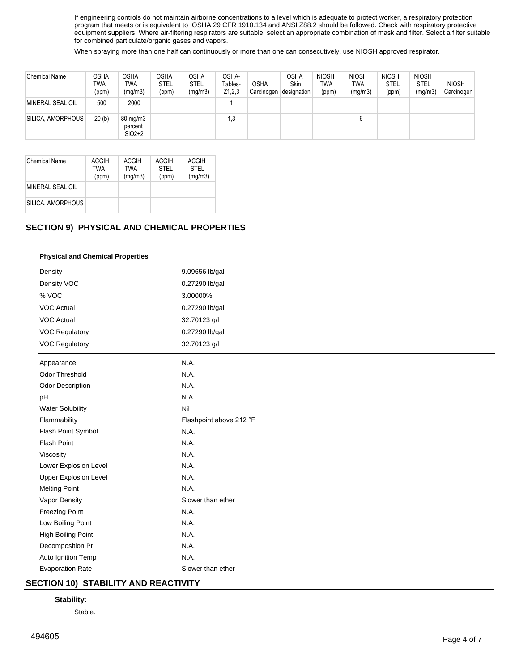If engineering controls do not maintain airborne concentrations to a level which is adequate to protect worker, a respiratory protection program that meets or is equivalent to OSHA 29 CFR 1910.134 and ANSI Z88.2 should be followed. Check with respiratory protective equipment suppliers. Where air-filtering respirators are suitable, select an appropriate combination of mask and filter. Select a filter suitable for combined particulate/organic gases and vapors.

When spraying more than one half can continuously or more than one can consecutively, use NIOSH approved respirator.

| <b>Chemical Name</b> | OSHA<br>TWA<br>(ppm) | OSHA<br>TWA<br>(mg/m3)                     | <b>OSHA</b><br><b>STEL</b><br>(ppm) | OSHA<br><b>STEL</b><br>(mg/m3) | OSHA-<br>Tables-<br>Z1,2,3 | OSHA<br>Carcinogen | <b>OSHA</b><br>Skin<br>designation | <b>NIOSH</b><br>TWA<br>(ppm) | <b>NIOSH</b><br>TWA<br>(mg/m3) | <b>NIOSH</b><br><b>STEL</b><br>(ppm) | <b>NIOSH</b><br><b>STEL</b><br>(mg/m3) | <b>NIOSH</b><br>Carcinogen |
|----------------------|----------------------|--------------------------------------------|-------------------------------------|--------------------------------|----------------------------|--------------------|------------------------------------|------------------------------|--------------------------------|--------------------------------------|----------------------------------------|----------------------------|
| MINERAL SEAL OIL     | 500                  | 2000                                       |                                     |                                |                            |                    |                                    |                              |                                |                                      |                                        |                            |
| SILICA, AMORPHOUS    | 20(b)                | $80 \text{ mg/m}$ 3<br>percent<br>$SiO2+2$ |                                     |                                | 1,3                        |                    |                                    |                              |                                |                                      |                                        |                            |

| Chemical Name     | ACGIH<br>TWA<br>(ppm) | ACGIH<br>TWA<br>(mq/m3) | <b>ACGIH</b><br>STFI<br>(ppm) | ACGIH<br><b>STEL</b><br>(mg/m3) |
|-------------------|-----------------------|-------------------------|-------------------------------|---------------------------------|
| MINERAL SEAL OIL  |                       |                         |                               |                                 |
| SILICA, AMORPHOUS |                       |                         |                               |                                 |

# **SECTION 9) PHYSICAL AND CHEMICAL PROPERTIES**

## **Physical and Chemical Properties**

| Density                      | 9.09656 lb/gal          |  |  |  |  |
|------------------------------|-------------------------|--|--|--|--|
| Density VOC                  | 0.27290 lb/gal          |  |  |  |  |
| % VOC                        | 3.00000%                |  |  |  |  |
| <b>VOC Actual</b>            | 0.27290 lb/gal          |  |  |  |  |
| <b>VOC Actual</b>            | 32.70123 g/l            |  |  |  |  |
| <b>VOC Regulatory</b>        | 0.27290 lb/gal          |  |  |  |  |
| <b>VOC Regulatory</b>        | 32.70123 g/l            |  |  |  |  |
| Appearance                   | N.A.                    |  |  |  |  |
| <b>Odor Threshold</b>        | N.A.                    |  |  |  |  |
| <b>Odor Description</b>      | N.A.                    |  |  |  |  |
| pH                           | N.A.                    |  |  |  |  |
| <b>Water Solubility</b>      | Nil                     |  |  |  |  |
| Flammability                 | Flashpoint above 212 °F |  |  |  |  |
| Flash Point Symbol           | N.A.                    |  |  |  |  |
| Flash Point                  | N.A.                    |  |  |  |  |
| Viscosity                    | N.A.                    |  |  |  |  |
| Lower Explosion Level        | N.A.                    |  |  |  |  |
| <b>Upper Explosion Level</b> | N.A.                    |  |  |  |  |
| <b>Melting Point</b>         | N.A.                    |  |  |  |  |
| Vapor Density                | Slower than ether       |  |  |  |  |
| <b>Freezing Point</b>        | N.A.                    |  |  |  |  |
| Low Boiling Point            | N.A.                    |  |  |  |  |
| High Boiling Point           | N.A.                    |  |  |  |  |
| Decomposition Pt             | N.A.                    |  |  |  |  |
| Auto Ignition Temp           | N.A.                    |  |  |  |  |
| <b>Evaporation Rate</b>      | Slower than ether       |  |  |  |  |

# **SECTION 10) STABILITY AND REACTIVITY**

## **Stability:**

Stable.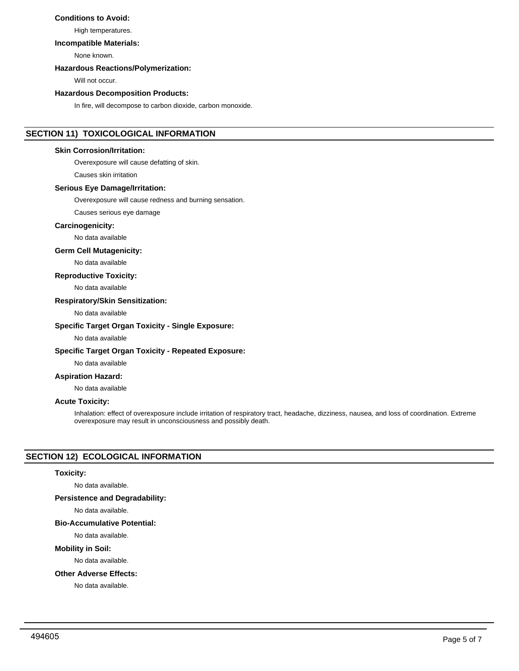# **Conditions to Avoid:**

High temperatures.

#### **Incompatible Materials:**

None known.

#### **Hazardous Reactions/Polymerization:**

Will not occur.

# **Hazardous Decomposition Products:**

In fire, will decompose to carbon dioxide, carbon monoxide.

# **SECTION 11) TOXICOLOGICAL INFORMATION**

## **Skin Corrosion/Irritation:**

Overexposure will cause defatting of skin.

Causes skin irritation

## **Serious Eye Damage/Irritation:**

Overexposure will cause redness and burning sensation.

Causes serious eye damage

## **Carcinogenicity:**

No data available

# **Germ Cell Mutagenicity:**

No data available

## **Reproductive Toxicity:**

No data available

#### **Respiratory/Skin Sensitization:**

No data available

## **Specific Target Organ Toxicity - Single Exposure:**

No data available

#### **Specific Target Organ Toxicity - Repeated Exposure:**

No data available

# **Aspiration Hazard:**

No data available

## **Acute Toxicity:**

Inhalation: effect of overexposure include irritation of respiratory tract, headache, dizziness, nausea, and loss of coordination. Extreme overexposure may result in unconsciousness and possibly death.

# **SECTION 12) ECOLOGICAL INFORMATION**

## **Toxicity:**

No data available.

## **Persistence and Degradability:**

No data available.

#### **Bio-Accumulative Potential:**

No data available.

#### **Mobility in Soil:**

No data available.

#### **Other Adverse Effects:**

No data available.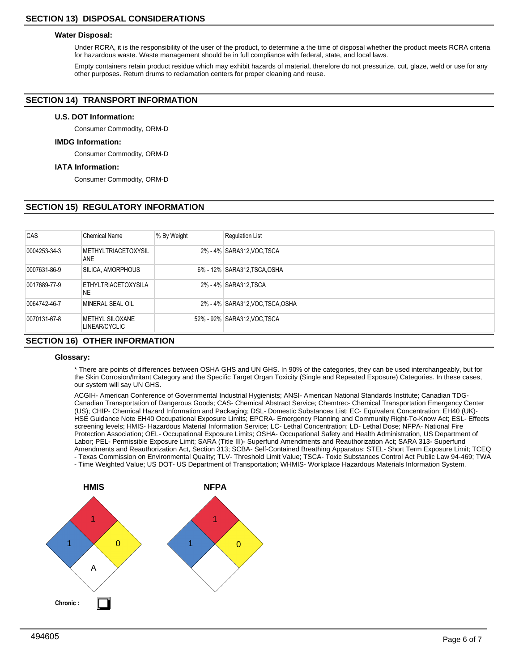#### **Water Disposal:**

Under RCRA, it is the responsibility of the user of the product, to determine a the time of disposal whether the product meets RCRA criteria for hazardous waste. Waste management should be in full compliance with federal, state, and local laws.

Empty containers retain product residue which may exhibit hazards of material, therefore do not pressurize, cut, glaze, weld or use for any other purposes. Return drums to reclamation centers for proper cleaning and reuse.

# **SECTION 14) TRANSPORT INFORMATION**

## **U.S. DOT Information:**

Consumer Commodity, ORM-D

## **IMDG Information:**

Consumer Commodity, ORM-D

#### **IATA Information:**

Consumer Commodity, ORM-D

# **SECTION 15) REGULATORY INFORMATION**

| <b>CAS</b>   | <b>Chemical Name</b>                 | % By Weight | <b>Regulation List</b>          |
|--------------|--------------------------------------|-------------|---------------------------------|
| 0004253-34-3 | <b>METHYLTRIACETOXYSIL</b><br>ANE    |             | 2% - 4% SARA312, VOC TSCA       |
| 0007631-86-9 | SILICA, AMORPHOUS                    |             | 6% - 12% SARA312, TSCA, OSHA    |
| 0017689-77-9 | <b>ETHYLTRIACETOXYSILA</b><br>NE     |             | 2% - 4% SARA312, TSCA           |
| 0064742-46-7 | MINERAL SEAL OIL                     |             | 2% - 4% SARA312, VOC TSCA, OSHA |
| 0070131-67-8 | METHYL SILOXANE<br>LINEAR/CYCLIC     |             | 52% - 92% SARA312, VOC, TSCA    |
|              | <b>SECTION 16) OTHER INFORMATION</b> |             |                                 |

#### **Glossary:**

\* There are points of differences between OSHA GHS and UN GHS. In 90% of the categories, they can be used interchangeably, but for the Skin Corrosion/Irritant Category and the Specific Target Organ Toxicity (Single and Repeated Exposure) Categories. In these cases, our system will say UN GHS.

ACGIH- American Conference of Governmental Industrial Hygienists; ANSI- American National Standards Institute; Canadian TDG-Canadian Transportation of Dangerous Goods; CAS- Chemical Abstract Service; Chemtrec- Chemical Transportation Emergency Center (US); CHIP- Chemical Hazard Information and Packaging; DSL- Domestic Substances List; EC- Equivalent Concentration; EH40 (UK)- HSE Guidance Note EH40 Occupational Exposure Limits; EPCRA- Emergency Planning and Community Right-To-Know Act; ESL- Effects screening levels; HMIS- Hazardous Material Information Service; LC- Lethal Concentration; LD- Lethal Dose; NFPA- National Fire Protection Association; OEL- Occupational Exposure Limits; OSHA- Occupational Safety and Health Administration, US Department of Labor; PEL- Permissible Exposure Limit; SARA (Title III)- Superfund Amendments and Reauthorization Act; SARA 313- Superfund Amendments and Reauthorization Act, Section 313; SCBA- Self-Contained Breathing Apparatus; STEL- Short Term Exposure Limit; TCEQ - Texas Commission on Environmental Quality; TLV- Threshold Limit Value; TSCA- Toxic Substances Control Act Public Law 94-469; TWA

- Time Weighted Value; US DOT- US Department of Transportation; WHMIS- Workplace Hazardous Materials Information System.